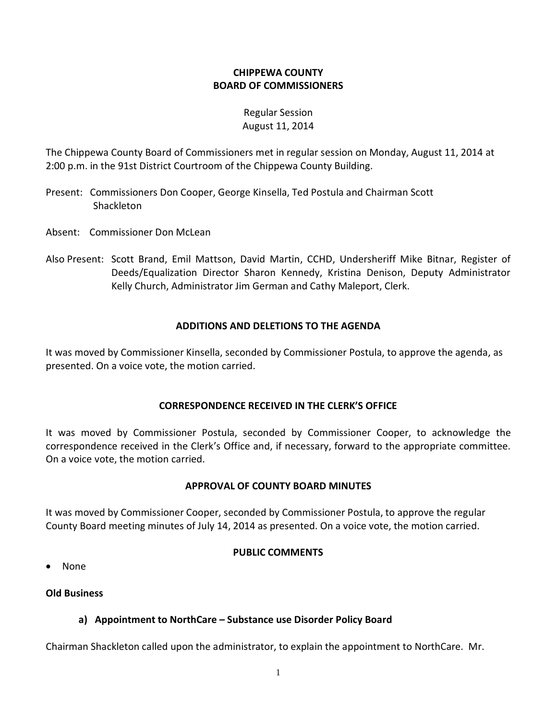# **CHIPPEWA COUNTY BOARD OF COMMISSIONERS**

# Regular Session August 11, 2014

The Chippewa County Board of Commissioners met in regular session on Monday, August 11, 2014 at 2:00 p.m. in the 91st District Courtroom of the Chippewa County Building.

- Present: Commissioners Don Cooper, George Kinsella, Ted Postula and Chairman Scott Shackleton
- Absent: Commissioner Don McLean
- Also Present: Scott Brand, Emil Mattson, David Martin, CCHD, Undersheriff Mike Bitnar, Register of Deeds/Equalization Director Sharon Kennedy, Kristina Denison, Deputy Administrator Kelly Church, Administrator Jim German and Cathy Maleport, Clerk.

#### **ADDITIONS AND DELETIONS TO THE AGENDA**

It was moved by Commissioner Kinsella, seconded by Commissioner Postula, to approve the agenda, as presented. On a voice vote, the motion carried.

#### **CORRESPONDENCE RECEIVED IN THE CLERK'S OFFICE**

It was moved by Commissioner Postula, seconded by Commissioner Cooper, to acknowledge the correspondence received in the Clerk's Office and, if necessary, forward to the appropriate committee. On a voice vote, the motion carried.

#### **APPROVAL OF COUNTY BOARD MINUTES**

It was moved by Commissioner Cooper, seconded by Commissioner Postula, to approve the regular County Board meeting minutes of July 14, 2014 as presented. On a voice vote, the motion carried.

#### **PUBLIC COMMENTS**

· None

#### **Old Business**

# **a) Appointment to NorthCare – Substance use Disorder Policy Board**

Chairman Shackleton called upon the administrator, to explain the appointment to NorthCare. Mr.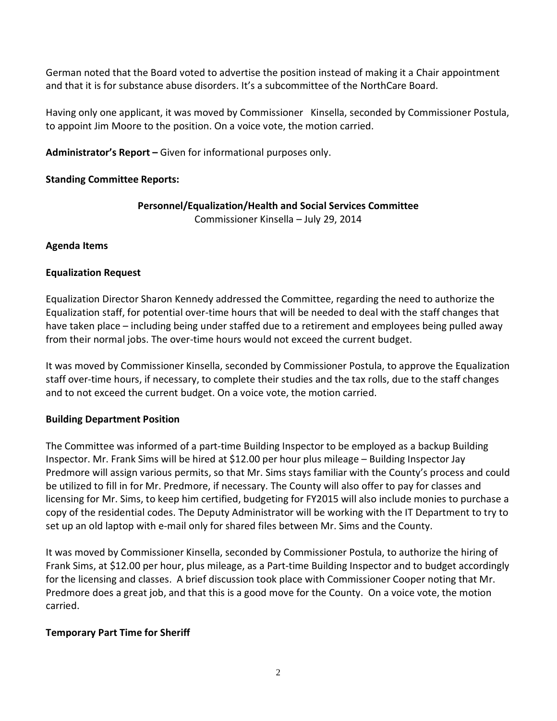German noted that the Board voted to advertise the position instead of making it a Chair appointment and that it is for substance abuse disorders. It's a subcommittee of the NorthCare Board.

Having only one applicant, it was moved by Commissioner Kinsella, seconded by Commissioner Postula, to appoint Jim Moore to the position. On a voice vote, the motion carried.

**Administrator's Report –** Given for informational purposes only.

# **Standing Committee Reports:**

# **Personnel/Equalization/Health and Social Services Committee**

Commissioner Kinsella – July 29, 2014

# **Agenda Items**

# **Equalization Request**

Equalization Director Sharon Kennedy addressed the Committee, regarding the need to authorize the Equalization staff, for potential over-time hours that will be needed to deal with the staff changes that have taken place – including being under staffed due to a retirement and employees being pulled away from their normal jobs. The over-time hours would not exceed the current budget.

It was moved by Commissioner Kinsella, seconded by Commissioner Postula, to approve the Equalization staff over-time hours, if necessary, to complete their studies and the tax rolls, due to the staff changes and to not exceed the current budget. On a voice vote, the motion carried.

# **Building Department Position**

The Committee was informed of a part-time Building Inspector to be employed as a backup Building Inspector. Mr. Frank Sims will be hired at \$12.00 per hour plus mileage – Building Inspector Jay Predmore will assign various permits, so that Mr. Sims stays familiar with the County's process and could be utilized to fill in for Mr. Predmore, if necessary. The County will also offer to pay for classes and licensing for Mr. Sims, to keep him certified, budgeting for FY2015 will also include monies to purchase a copy of the residential codes. The Deputy Administrator will be working with the IT Department to try to set up an old laptop with e-mail only for shared files between Mr. Sims and the County.

It was moved by Commissioner Kinsella, seconded by Commissioner Postula, to authorize the hiring of Frank Sims, at \$12.00 per hour, plus mileage, as a Part-time Building Inspector and to budget accordingly for the licensing and classes. A brief discussion took place with Commissioner Cooper noting that Mr. Predmore does a great job, and that this is a good move for the County. On a voice vote, the motion carried.

# **Temporary Part Time for Sheriff**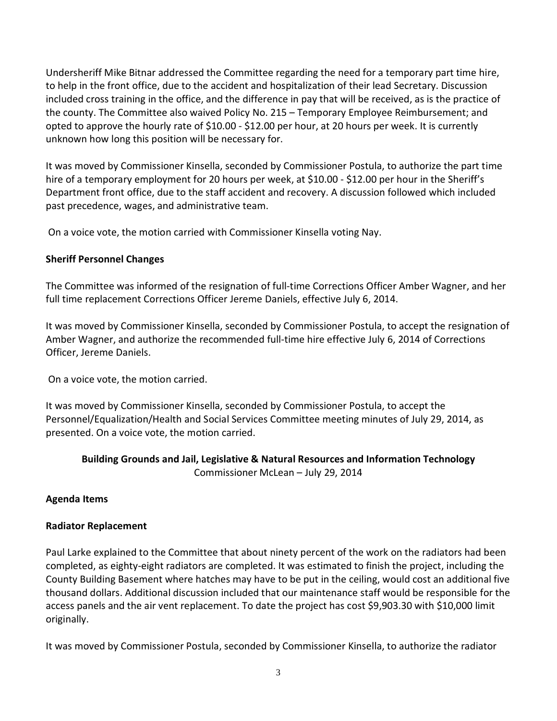Undersheriff Mike Bitnar addressed the Committee regarding the need for a temporary part time hire, to help in the front office, due to the accident and hospitalization of their lead Secretary. Discussion included cross training in the office, and the difference in pay that will be received, as is the practice of the county. The Committee also waived Policy No. 215 – Temporary Employee Reimbursement; and opted to approve the hourly rate of \$10.00 - \$12.00 per hour, at 20 hours per week. It is currently unknown how long this position will be necessary for.

It was moved by Commissioner Kinsella, seconded by Commissioner Postula, to authorize the part time hire of a temporary employment for 20 hours per week, at \$10.00 - \$12.00 per hour in the Sheriff's Department front office, due to the staff accident and recovery. A discussion followed which included past precedence, wages, and administrative team.

On a voice vote, the motion carried with Commissioner Kinsella voting Nay.

# **Sheriff Personnel Changes**

The Committee was informed of the resignation of full-time Corrections Officer Amber Wagner, and her full time replacement Corrections Officer Jereme Daniels, effective July 6, 2014.

It was moved by Commissioner Kinsella, seconded by Commissioner Postula, to accept the resignation of Amber Wagner, and authorize the recommended full-time hire effective July 6, 2014 of Corrections Officer, Jereme Daniels.

On a voice vote, the motion carried.

It was moved by Commissioner Kinsella, seconded by Commissioner Postula, to accept the Personnel/Equalization/Health and Social Services Committee meeting minutes of July 29, 2014, as presented. On a voice vote, the motion carried.

# **Building Grounds and Jail, Legislative & Natural Resources and Information Technology** Commissioner McLean – July 29, 2014

# **Agenda Items**

# **Radiator Replacement**

Paul Larke explained to the Committee that about ninety percent of the work on the radiators had been completed, as eighty-eight radiators are completed. It was estimated to finish the project, including the County Building Basement where hatches may have to be put in the ceiling, would cost an additional five thousand dollars. Additional discussion included that our maintenance staff would be responsible for the access panels and the air vent replacement. To date the project has cost \$9,903.30 with \$10,000 limit originally.

It was moved by Commissioner Postula, seconded by Commissioner Kinsella, to authorize the radiator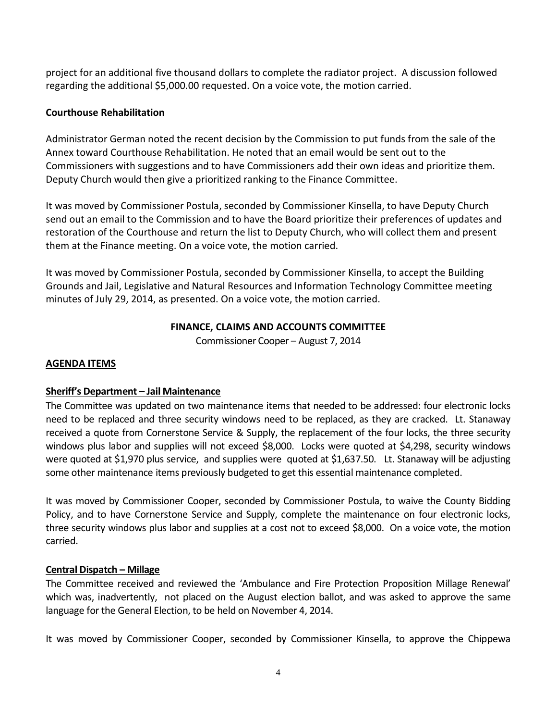project for an additional five thousand dollars to complete the radiator project. A discussion followed regarding the additional \$5,000.00 requested. On a voice vote, the motion carried.

# **Courthouse Rehabilitation**

Administrator German noted the recent decision by the Commission to put funds from the sale of the Annex toward Courthouse Rehabilitation. He noted that an email would be sent out to the Commissioners with suggestions and to have Commissioners add their own ideas and prioritize them. Deputy Church would then give a prioritized ranking to the Finance Committee.

It was moved by Commissioner Postula, seconded by Commissioner Kinsella, to have Deputy Church send out an email to the Commission and to have the Board prioritize their preferences of updates and restoration of the Courthouse and return the list to Deputy Church, who will collect them and present them at the Finance meeting. On a voice vote, the motion carried.

It was moved by Commissioner Postula, seconded by Commissioner Kinsella, to accept the Building Grounds and Jail, Legislative and Natural Resources and Information Technology Committee meeting minutes of July 29, 2014, as presented. On a voice vote, the motion carried.

# **FINANCE, CLAIMS AND ACCOUNTS COMMITTEE**

Commissioner Cooper – August 7, 2014

# **AGENDA ITEMS**

# **Sheriff's Department – Jail Maintenance**

The Committee was updated on two maintenance items that needed to be addressed: four electronic locks need to be replaced and three security windows need to be replaced, as they are cracked. Lt. Stanaway received a quote from Cornerstone Service & Supply, the replacement of the four locks, the three security windows plus labor and supplies will not exceed \$8,000. Locks were quoted at \$4,298, security windows were quoted at \$1,970 plus service, and supplies were quoted at \$1,637.50. Lt. Stanaway will be adjusting some other maintenance items previously budgeted to get this essential maintenance completed.

It was moved by Commissioner Cooper, seconded by Commissioner Postula, to waive the County Bidding Policy, and to have Cornerstone Service and Supply, complete the maintenance on four electronic locks, three security windows plus labor and supplies at a cost not to exceed \$8,000. On a voice vote, the motion carried.

# **Central Dispatch – Millage**

The Committee received and reviewed the 'Ambulance and Fire Protection Proposition Millage Renewal' which was, inadvertently, not placed on the August election ballot, and was asked to approve the same language for the General Election, to be held on November 4, 2014.

It was moved by Commissioner Cooper, seconded by Commissioner Kinsella, to approve the Chippewa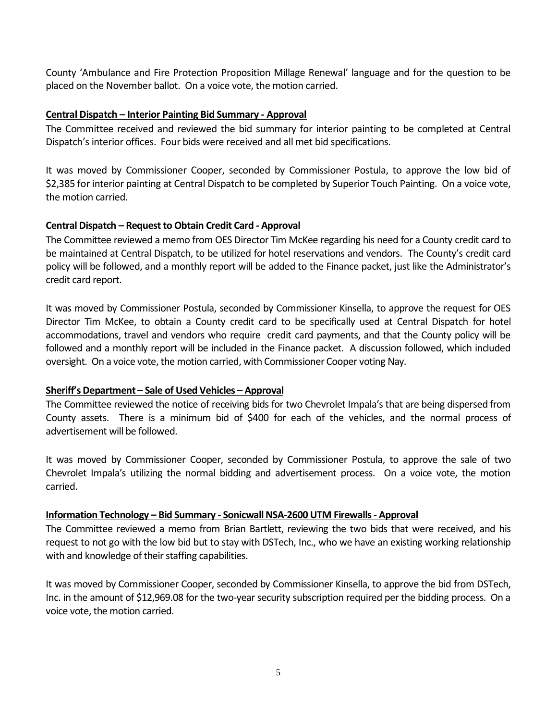County 'Ambulance and Fire Protection Proposition Millage Renewal' language and for the question to be placed on the November ballot. On a voice vote, the motion carried.

#### **Central Dispatch – Interior Painting Bid Summary - Approval**

The Committee received and reviewed the bid summary for interior painting to be completed at Central Dispatch's interior offices. Four bids were received and all met bid specifications.

It was moved by Commissioner Cooper, seconded by Commissioner Postula, to approve the low bid of \$2,385 for interior painting at Central Dispatch to be completed by Superior Touch Painting. On a voice vote, the motion carried.

#### **Central Dispatch – Request to Obtain Credit Card - Approval**

The Committee reviewed a memo from OES Director Tim McKee regarding his need for a County credit card to be maintained at Central Dispatch, to be utilized for hotel reservations and vendors. The County's credit card policy will be followed, and a monthly report will be added to the Finance packet, just like the Administrator's credit card report.

It was moved by Commissioner Postula, seconded by Commissioner Kinsella, to approve the request for OES Director Tim McKee, to obtain a County credit card to be specifically used at Central Dispatch for hotel accommodations, travel and vendors who require credit card payments, and that the County policy will be followed and a monthly report will be included in the Finance packet. A discussion followed, which included oversight. On a voice vote, the motion carried, with Commissioner Cooper voting Nay.

#### **Sheriff's Department – Sale of Used Vehicles – Approval**

The Committee reviewed the notice of receiving bids for two Chevrolet Impala's that are being dispersed from County assets. There is a minimum bid of \$400 for each of the vehicles, and the normal process of advertisement will be followed.

It was moved by Commissioner Cooper, seconded by Commissioner Postula, to approve the sale of two Chevrolet Impala's utilizing the normal bidding and advertisement process. On a voice vote, the motion carried.

#### **Information Technology – Bid Summary - Sonicwall NSA-2600 UTM Firewalls - Approval**

The Committee reviewed a memo from Brian Bartlett, reviewing the two bids that were received, and his request to not go with the low bid but to stay with DSTech, Inc., who we have an existing working relationship with and knowledge of their staffing capabilities.

It was moved by Commissioner Cooper, seconded by Commissioner Kinsella, to approve the bid from DSTech, Inc. in the amount of \$12,969.08 for the two-year security subscription required per the bidding process. On a voice vote, the motion carried.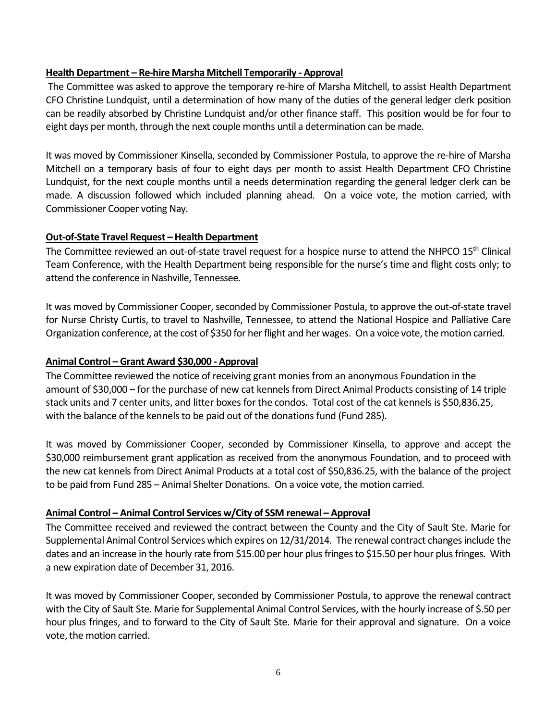#### **Health Department – Re-hire Marsha Mitchell Temporarily - Approval**

The Committee was asked to approve the temporary re-hire of Marsha Mitchell, to assist Health Department CFO Christine Lundquist, until a determination of how many of the duties of the general ledger clerk position can be readily absorbed by Christine Lundquist and/or other finance staff. This position would be for four to eight days per month, through the next couple months until a determination can be made.

It was moved by Commissioner Kinsella, seconded by Commissioner Postula, to approve the re-hire of Marsha Mitchell on a temporary basis of four to eight days per month to assist Health Department CFO Christine Lundquist, for the next couple months until a needs determination regarding the general ledger clerk can be made. A discussion followed which included planning ahead. On a voice vote, the motion carried, with Commissioner Cooper voting Nay.

#### **Out-of-State Travel Request – Health Department**

The Committee reviewed an out-of-state travel request for a hospice nurse to attend the NHPCO 15<sup>th</sup> Clinical Team Conference, with the Health Department being responsible for the nurse's time and flight costs only; to attend the conference in Nashville, Tennessee.

It was moved by Commissioner Cooper, seconded by Commissioner Postula, to approve the out-of-state travel for Nurse Christy Curtis, to travel to Nashville, Tennessee, to attend the National Hospice and Palliative Care Organization conference, at the cost of \$350 for her flight and her wages. On a voice vote, the motion carried.

### **Animal Control – Grant Award \$30,000 - Approval**

The Committee reviewed the notice of receiving grant monies from an anonymous Foundation in the amount of \$30,000 – for the purchase of new cat kennels from Direct Animal Products consisting of 14 triple stack units and 7 center units, and litter boxes for the condos. Total cost of the cat kennels is \$50,836.25, with the balance of the kennels to be paid out of the donations fund (Fund 285).

It was moved by Commissioner Cooper, seconded by Commissioner Kinsella, to approve and accept the \$30,000 reimbursement grant application as received from the anonymous Foundation, and to proceed with the new cat kennels from Direct Animal Products at a total cost of \$50,836.25, with the balance of the project to be paid from Fund 285 – Animal Shelter Donations. On a voice vote, the motion carried.

# **Animal Control – Animal Control Services w/City of SSM renewal – Approval**

The Committee received and reviewed the contract between the County and the City of Sault Ste. Marie for Supplemental Animal Control Services which expires on 12/31/2014. The renewal contract changes include the dates and an increase in the hourly rate from \$15.00 per hour plus fringes to \$15.50 per hour plus fringes. With a new expiration date of December 31, 2016.

It was moved by Commissioner Cooper, seconded by Commissioner Postula, to approve the renewal contract with the City of Sault Ste. Marie for Supplemental Animal Control Services, with the hourly increase of \$.50 per hour plus fringes, and to forward to the City of Sault Ste. Marie for their approval and signature. On a voice vote, the motion carried.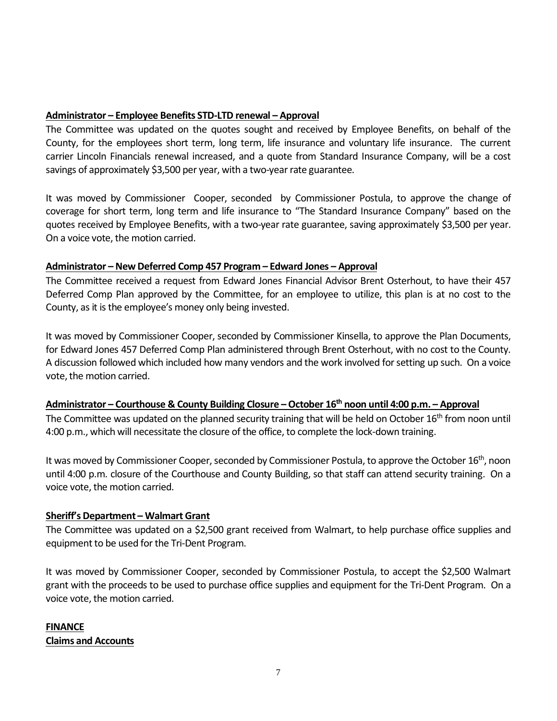#### **Administrator – Employee Benefits STD-LTD renewal – Approval**

The Committee was updated on the quotes sought and received by Employee Benefits, on behalf of the County, for the employees short term, long term, life insurance and voluntary life insurance. The current carrier Lincoln Financials renewal increased, and a quote from Standard Insurance Company, will be a cost savings of approximately \$3,500 per year, with a two-year rate guarantee.

It was moved by Commissioner Cooper, seconded by Commissioner Postula, to approve the change of coverage for short term, long term and life insurance to "The Standard Insurance Company" based on the quotes received by Employee Benefits, with a two-year rate guarantee, saving approximately \$3,500 per year. On a voice vote, the motion carried.

#### **Administrator – New Deferred Comp 457 Program – Edward Jones – Approval**

The Committee received a request from Edward Jones Financial Advisor Brent Osterhout, to have their 457 Deferred Comp Plan approved by the Committee, for an employee to utilize, this plan is at no cost to the County, as it is the employee's money only being invested.

It was moved by Commissioner Cooper, seconded by Commissioner Kinsella, to approve the Plan Documents, for Edward Jones 457 Deferred Comp Plan administered through Brent Osterhout, with no cost to the County. A discussion followed which included how many vendors and the work involved for setting up such. On a voice vote, the motion carried.

#### **Administrator – Courthouse & County Building Closure –October 16th noon until 4:00 p.m. – Approval**

The Committee was updated on the planned security training that will be held on October 16<sup>th</sup> from noon until 4:00 p.m., which will necessitate the closure of the office, to complete the lock-down training.

It was moved by Commissioner Cooper, seconded by Commissioner Postula, to approve the October 16<sup>th</sup>, noon until 4:00 p.m. closure of the Courthouse and County Building, so that staff can attend security training. On a voice vote, the motion carried.

#### **Sheriff's Department – Walmart Grant**

The Committee was updated on a \$2,500 grant received from Walmart, to help purchase office supplies and equipment to be used for the Tri-Dent Program.

It was moved by Commissioner Cooper, seconded by Commissioner Postula, to accept the \$2,500 Walmart grant with the proceeds to be used to purchase office supplies and equipment for the Tri-Dent Program. On a voice vote, the motion carried.

# **FINANCE Claims and Accounts**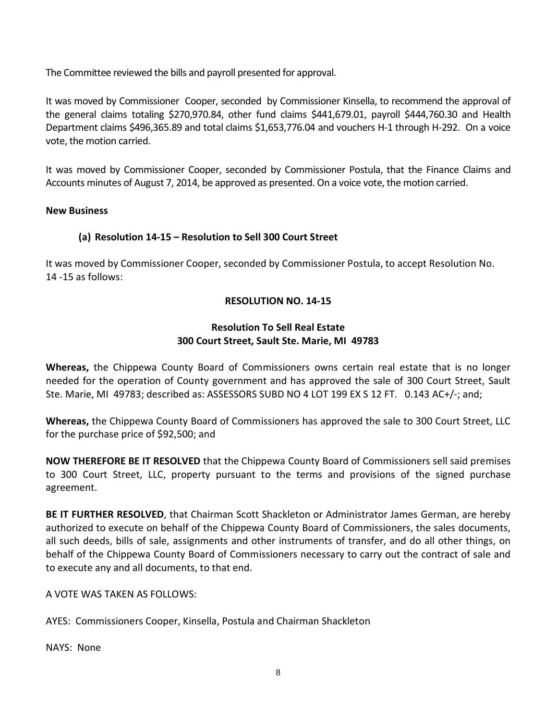The Committee reviewed the bills and payroll presented for approval.

It was moved by Commissioner Cooper, seconded by Commissioner Kinsella, to recommend the approval of the general claims totaling \$270,970.84, other fund claims \$441,679.01, payroll \$444,760.30 and Health Department claims \$496,365.89 and total claims \$1,653,776.04 and vouchers H-1 through H-292. On a voice vote, the motion carried.

It was moved by Commissioner Cooper, seconded by Commissioner Postula, that the Finance Claims and Accounts minutes of August 7, 2014, be approved as presented. On a voice vote, the motion carried.

#### **New Business**

# **(a) Resolution 14-15 – Resolution to Sell 300 Court Street**

It was moved by Commissioner Cooper, seconded by Commissioner Postula, to accept Resolution No. 14 -15 as follows:

#### **RESOLUTION NO. 14-15**

#### **Resolution To Sell Real Estate 300 Court Street, Sault Ste. Marie, MI 49783**

**Whereas,** the Chippewa County Board of Commissioners owns certain real estate that is no longer needed for the operation of County government and has approved the sale of 300 Court Street, Sault Ste. Marie, MI 49783; described as: ASSESSORS SUBD NO 4 LOT 199 EX S 12 FT. 0.143 AC+/-; and;

**Whereas,** the Chippewa County Board of Commissioners has approved the sale to 300 Court Street, LLC for the purchase price of \$92,500; and

**NOW THEREFORE BE IT RESOLVED** that the Chippewa County Board of Commissioners sell said premises to 300 Court Street, LLC, property pursuant to the terms and provisions of the signed purchase agreement.

**BE IT FURTHER RESOLVED**, that Chairman Scott Shackleton or Administrator James German, are hereby authorized to execute on behalf of the Chippewa County Board of Commissioners, the sales documents, all such deeds, bills of sale, assignments and other instruments of transfer, and do all other things, on behalf of the Chippewa County Board of Commissioners necessary to carry out the contract of sale and to execute any and all documents, to that end.

A VOTE WAS TAKEN AS FOLLOWS:

AYES: Commissioners Cooper, Kinsella, Postula and Chairman Shackleton

NAYS: None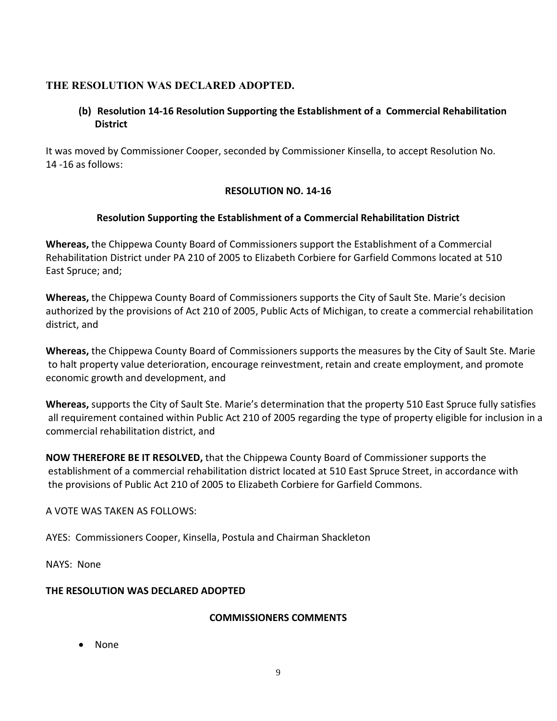# **THE RESOLUTION WAS DECLARED ADOPTED.**

# **(b) Resolution 14-16 Resolution Supporting the Establishment of a Commercial Rehabilitation District**

It was moved by Commissioner Cooper, seconded by Commissioner Kinsella, to accept Resolution No. 14 -16 as follows:

# **RESOLUTION NO. 14-16**

# **Resolution Supporting the Establishment of a Commercial Rehabilitation District**

**Whereas,** the Chippewa County Board of Commissioners support the Establishment of a Commercial Rehabilitation District under PA 210 of 2005 to Elizabeth Corbiere for Garfield Commons located at 510 East Spruce; and;

**Whereas,** the Chippewa County Board of Commissioners supports the City of Sault Ste. Marie's decision authorized by the provisions of Act 210 of 2005, Public Acts of Michigan, to create a commercial rehabilitation district, and

**Whereas,** the Chippewa County Board of Commissioners supports the measures by the City of Sault Ste. Marie to halt property value deterioration, encourage reinvestment, retain and create employment, and promote economic growth and development, and

**Whereas,** supports the City of Sault Ste. Marie's determination that the property 510 East Spruce fully satisfies all requirement contained within Public Act 210 of 2005 regarding the type of property eligible for inclusion in a commercial rehabilitation district, and

**NOW THEREFORE BE IT RESOLVED,** that the Chippewa County Board of Commissioner supports the establishment of a commercial rehabilitation district located at 510 East Spruce Street, in accordance with the provisions of Public Act 210 of 2005 to Elizabeth Corbiere for Garfield Commons.

A VOTE WAS TAKEN AS FOLLOWS:

AYES: Commissioners Cooper, Kinsella, Postula and Chairman Shackleton

NAYS: None

# **THE RESOLUTION WAS DECLARED ADOPTED**

# **COMMISSIONERS COMMENTS**

· None